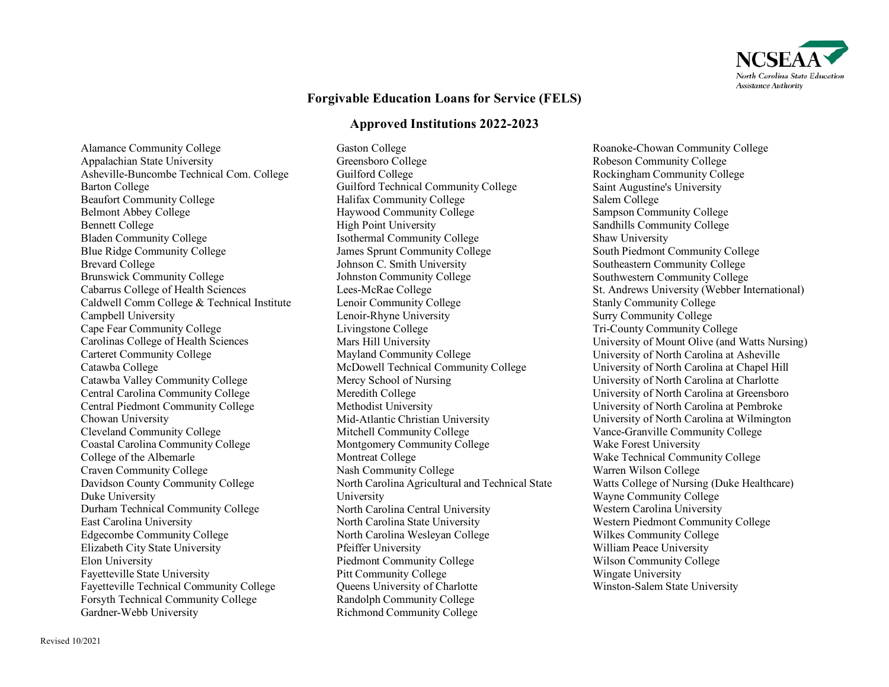

## **Forgivable Education Loans for Service (FELS)**

## **Approved Institutions 2022-2023**

Alamance Community College Appalachian State University Asheville-Buncombe Technical Com. College Barton College Beaufort Community College Belmont Abbey College Bennett College Bladen Community College Blue Ridge Community College Brevard College Brunswick Community College Cabarrus College of Health Sciences Caldwell Comm College & Technical Institute Campbell University Cape Fear Community College Carolinas College of Health Sciences Carteret Community College Catawba College Catawba Valley Community College Central Carolina Community College Central Piedmont Community College Chowan University Cleveland Community College Coastal Carolina Community College College of the Albemarle Craven Community College Davidson County Community College Duke University Durham Technical Community College East Carolina University Edgecombe Community College Elizabeth City State University Elon University Fayetteville State University Fayetteville Technical Community College Forsyth Technical Community College Gardner-Webb University

Gaston College Greensboro College Guilford College Guilford Technical Community College Halifax Community College Haywood Community College High Point University Isothermal Community College James Sprunt Community College Johnson C. Smith University Johnston Community College Lees-McRae College Lenoir Community College Lenoir-Rhyne University Livingstone College Mars Hill University Mayland Community College McDowell Technical Community College Mercy School of Nursing Meredith College Methodist University Mid-Atlantic Christian University Mitchell Community College Montgomery Community College Montreat College Nash Community College North Carolina Agricultural and Technical State University North Carolina Central University North Carolina State University North Carolina Wesleyan College Pfeiffer University Piedmont Community College Pitt Community College Queens University of Charlotte Randolph Community College Richmond Community College

Roanoke-Chowan Community College Robeson Community College Rockingham Community College Saint Augustine's University Salem College Sampson Community College Sandhills Community College Shaw University South Piedmont Community College Southeastern Community College Southwestern Community College St. Andrews University (Webber International) Stanly Community College Surry Community College Tri-County Community College University of Mount Olive (and Watts Nursing) University of North Carolina at Asheville University of North Carolina at Chapel Hill University of North Carolina at Charlotte University of North Carolina at Greensboro University of North Carolina at Pembroke University of North Carolina at Wilmington Vance-Granville Community College Wake Forest University Wake Technical Community College Warren Wilson College Watts College of Nursing (Duke Healthcare) Wayne Community College Western Carolina University Western Piedmont Community College Wilkes Community College William Peace University Wilson Community College Wingate University Winston-Salem State University